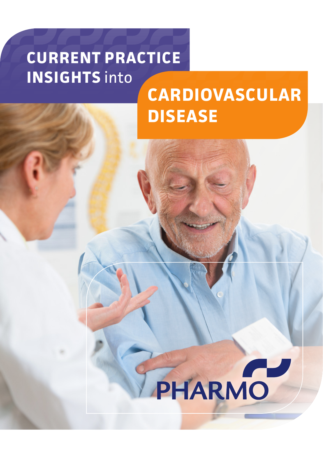# **CURRENT PRACTICE INSIGHTS into**

# **CARDIOVASCULAR DISEASE**

# PHARMO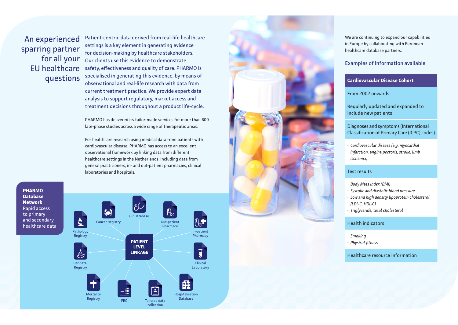An experienced sparring partner for all your EU healthcare questions

Patient-centric data derived from real-life healthcare settings is a key element in generating evidence for decision-making by healthcare stakeholders. Our clients use this evidence to demonstrate safety, effectiveness and quality of care. PHARMO is specialised in generating this evidence, by means of observational and real-life research with data from current treatment practice. We provide expert data analysis to support regulatory, market access and treatment decisions throughout a product life-cycle.

PHARMO has delivered its tailor-made services for more than 600 late-phase studies across a wide range of therapeutic areas.

For healthcare research using medical data from patients with cardiovascular disease, PHARMO has access to an excellent observational framework by linking data from different healthcare settings in the Netherlands, including data from general practitioners, in- and out-patient pharmacies, clinical laboratories and hospitals.

**PHARMO Database Network** Rapid access to primary and secondary healthcare data





We are continuing to expand our capabilities in Europe by collaborating with European healthcare database partners.

## Examples of information available

#### **Cardiovascular Disease Cohort**

From 2002 onwards

Regularly updated and expanded to include new patients

Diagnoses and symptoms (International Classification of Primary Care (ICPC) codes)

*• Cardiovascular disease (e.g. myocardial infarction, angina pectoris, stroke, limb ischemia)* 

### Test results

- *• Body Mass Index (BMI)*
- 
- *• Systolic and diastolic blood pressure • Low and high density lipoprotein cholesterol (LDL-C, HDL-C)*
- *• Triglyceride, total cholesterol*

#### Health indicators

- 
- *• Smoking • Physical fitness*

Healthcare resource information